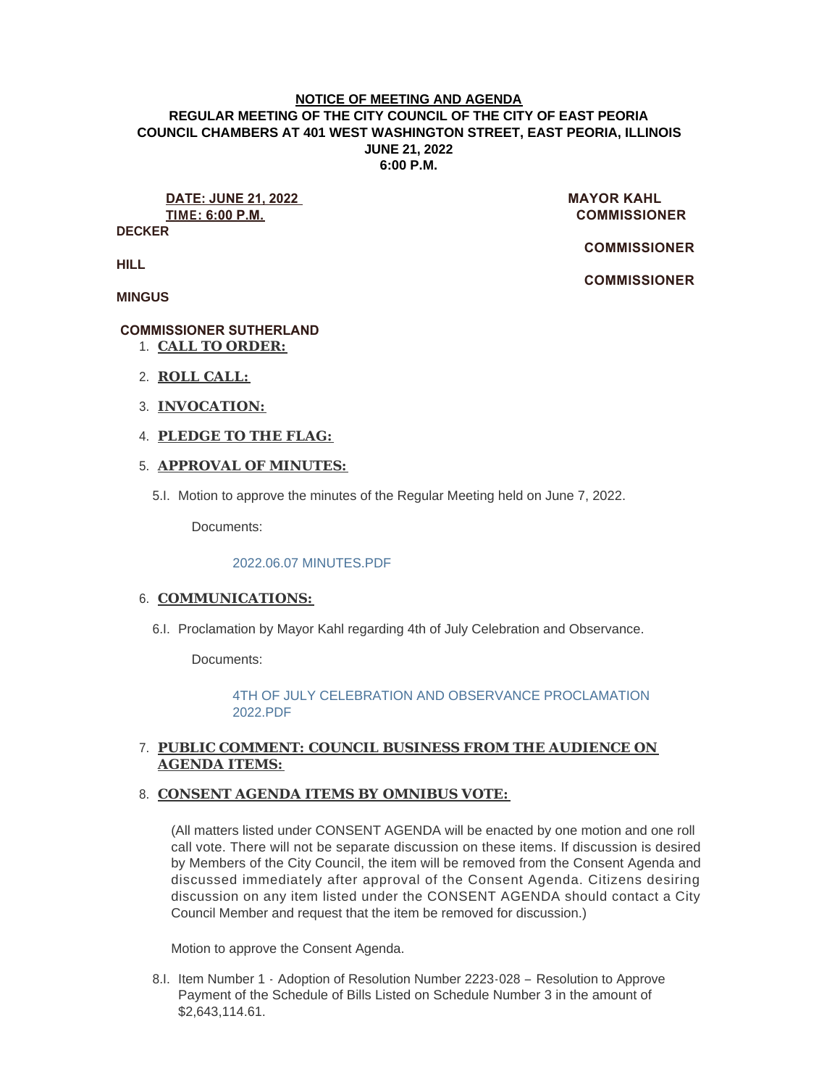#### **NOTICE OF MEETING AND AGENDA REGULAR MEETING OF THE CITY COUNCIL OF THE CITY OF EAST PEORIA COUNCIL CHAMBERS AT 401 WEST WASHINGTON STREET, EAST PEORIA, ILLINOIS JUNE 21, 2022 6:00 P.M.**

**DATE: JUNE 21, 2022 MAYOR KAHL TIME: 6:00 P.M. COMMISSIONER** 

**DECKER**

 **COMMISSIONER** 

 **COMMISSIONER** 

**HILL**

**MINGUS**

## **COMMISSIONER SUTHERLAND**

- **CALL TO ORDER:** 1.
- **ROLL CALL:** 2.
- **INVOCATION:** 3.
- **PLEDGE TO THE FLAG:** 4.

## **APPROVAL OF MINUTES:** 5.

Motion to approve the minutes of the Regular Meeting held on June 7, 2022. 5.I.

Documents:

#### [2022.06.07 MINUTES.PDF](https://www.cityofeastpeoria.com/AgendaCenter/ViewFile/Item/4492?fileID=30052)

## 6. COMMUNICATIONS:

6.I. Proclamation by Mayor Kahl regarding 4th of July Celebration and Observance.

Documents:

[4TH OF JULY CELEBRATION AND OBSERVANCE PROCLAMATION](https://www.cityofeastpeoria.com/AgendaCenter/ViewFile/Item/4493?fileID=30053)  2022.PDF

# **PUBLIC COMMENT: COUNCIL BUSINESS FROM THE AUDIENCE ON**  7. **AGENDA ITEMS:**

#### **CONSENT AGENDA ITEMS BY OMNIBUS VOTE:**  8.

(All matters listed under CONSENT AGENDA will be enacted by one motion and one roll call vote. There will not be separate discussion on these items. If discussion is desired by Members of the City Council, the item will be removed from the Consent Agenda and discussed immediately after approval of the Consent Agenda. Citizens desiring discussion on any item listed under the CONSENT AGENDA should contact a City Council Member and request that the item be removed for discussion.)

Motion to approve the Consent Agenda.

8.I. Item Number 1 - Adoption of Resolution Number 2223-028 - Resolution to Approve Payment of the Schedule of Bills Listed on Schedule Number 3 in the amount of \$2,643,114.61.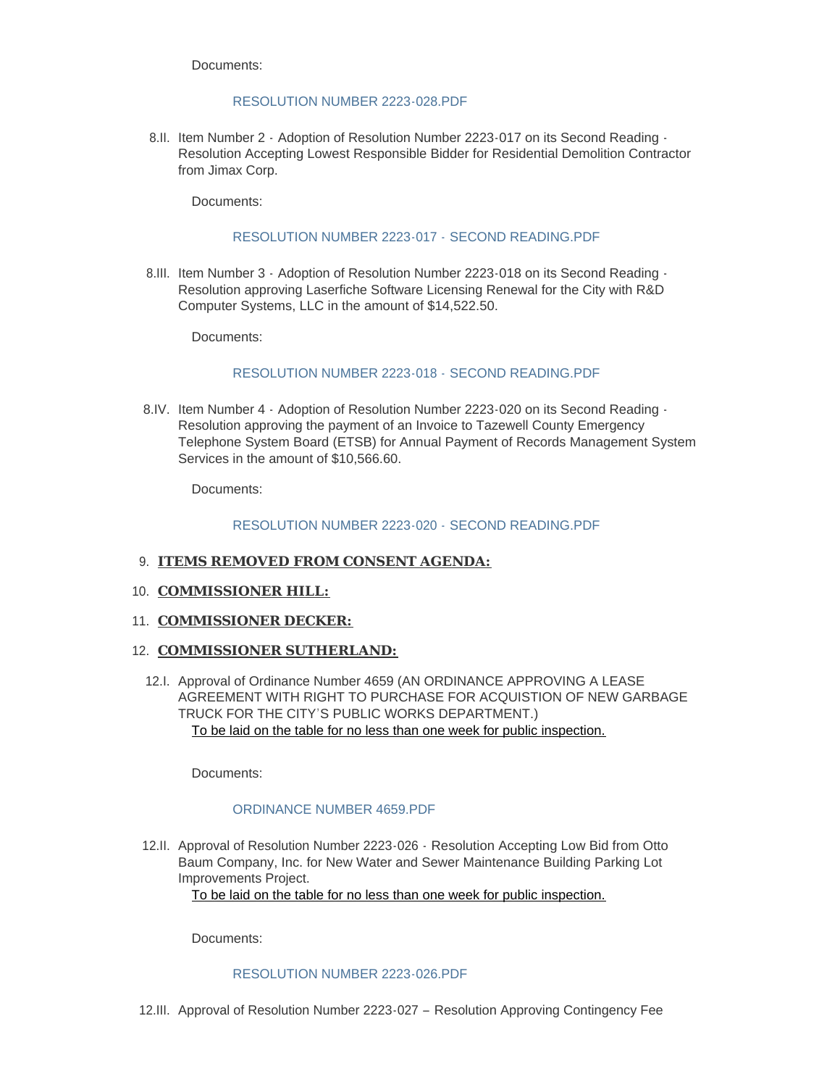Documents:

#### [RESOLUTION NUMBER 2223-028.PDF](https://www.cityofeastpeoria.com/AgendaCenter/ViewFile/Item/4494?fileID=30054)

8.II. Item Number 2 - Adoption of Resolution Number 2223-017 on its Second Reading -Resolution Accepting Lowest Responsible Bidder for Residential Demolition Contractor from Jimax Corp.

Documents:

## [RESOLUTION NUMBER 2223-017 -](https://www.cityofeastpeoria.com/AgendaCenter/ViewFile/Item/4495?fileID=30055) SECOND READING.PDF

8.III. Item Number 3 - Adoption of Resolution Number 2223-018 on its Second Reading -Resolution approving Laserfiche Software Licensing Renewal for the City with R&D Computer Systems, LLC in the amount of \$14,522.50.

Documents:

# [RESOLUTION NUMBER 2223-018 -](https://www.cityofeastpeoria.com/AgendaCenter/ViewFile/Item/4496?fileID=30056) SECOND READING.PDF

8.IV. Item Number 4 - Adoption of Resolution Number 2223-020 on its Second Reading -Resolution approving the payment of an Invoice to Tazewell County Emergency Telephone System Board (ETSB) for Annual Payment of Records Management System Services in the amount of \$10,566.60.

Documents:

## [RESOLUTION NUMBER 2223-020 -](https://www.cityofeastpeoria.com/AgendaCenter/ViewFile/Item/4497?fileID=30057) SECOND READING.PDF

#### **ITEMS REMOVED FROM CONSENT AGENDA:** 9.

#### 10. **COMMISSIONER HILL:**

11. **COMMISSIONER DECKER:** 

#### 12. **COMMISSIONER SUTHERLAND:**

12.I. Approval of Ordinance Number 4659 (AN ORDINANCE APPROVING A LEASE AGREEMENT WITH RIGHT TO PURCHASE FOR ACQUISTION OF NEW GARBAGE TRUCK FOR THE CITY'S PUBLIC WORKS DEPARTMENT.) To be laid on the table for no less than one week for public inspection.

Documents:

# [ORDINANCE NUMBER 4659.PDF](https://www.cityofeastpeoria.com/AgendaCenter/ViewFile/Item/4498?fileID=30066)

12.II. Approval of Resolution Number 2223-026 - Resolution Accepting Low Bid from Otto Baum Company, Inc. for New Water and Sewer Maintenance Building Parking Lot Improvements Project.

To be laid on the table for no less than one week for public inspection.

Documents:

#### [RESOLUTION NUMBER 2223-026.PDF](https://www.cityofeastpeoria.com/AgendaCenter/ViewFile/Item/4499?fileID=30059)

12.III. Approval of Resolution Number 2223-027 - Resolution Approving Contingency Fee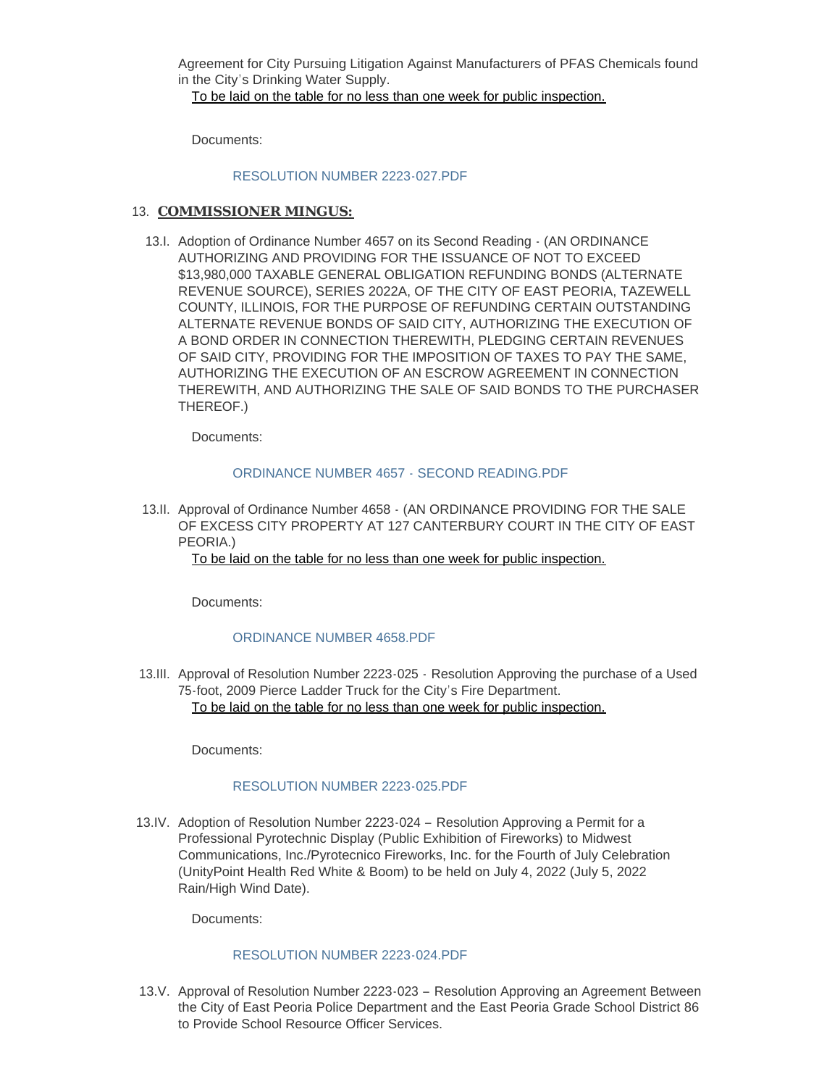Agreement for City Pursuing Litigation Against Manufacturers of PFAS Chemicals found in the City's Drinking Water Supply.

To be laid on the table for no less than one week for public inspection.

Documents:

#### [RESOLUTION NUMBER 2223-027.PDF](https://www.cityofeastpeoria.com/AgendaCenter/ViewFile/Item/4500?fileID=30060)

#### 13. **COMMISSIONER MINGUS:**

13.I. Adoption of Ordinance Number 4657 on its Second Reading  $\cdot$  (AN ORDINANCE AUTHORIZING AND PROVIDING FOR THE ISSUANCE OF NOT TO EXCEED \$13,980,000 TAXABLE GENERAL OBLIGATION REFUNDING BONDS (ALTERNATE REVENUE SOURCE), SERIES 2022A, OF THE CITY OF EAST PEORIA, TAZEWELL COUNTY, ILLINOIS, FOR THE PURPOSE OF REFUNDING CERTAIN OUTSTANDING ALTERNATE REVENUE BONDS OF SAID CITY, AUTHORIZING THE EXECUTION OF A BOND ORDER IN CONNECTION THEREWITH, PLEDGING CERTAIN REVENUES OF SAID CITY, PROVIDING FOR THE IMPOSITION OF TAXES TO PAY THE SAME, AUTHORIZING THE EXECUTION OF AN ESCROW AGREEMENT IN CONNECTION THEREWITH, AND AUTHORIZING THE SALE OF SAID BONDS TO THE PURCHASER THEREOF.)

Documents:

## [ORDINANCE NUMBER 4657 - SECOND READING.PDF](https://www.cityofeastpeoria.com/AgendaCenter/ViewFile/Item/4501?fileID=30061)

13.II. Approval of Ordinance Number 4658 - (AN ORDINANCE PROVIDING FOR THE SALE OF EXCESS CITY PROPERTY AT 127 CANTERBURY COURT IN THE CITY OF EAST PEORIA.)

To be laid on the table for no less than one week for public inspection.

Documents:

#### [ORDINANCE NUMBER 4658.PDF](https://www.cityofeastpeoria.com/AgendaCenter/ViewFile/Item/4502?fileID=30062)

13.III. Approval of Resolution Number 2223-025 - Resolution Approving the purchase of a Used 75-foot, 2009 Pierce Ladder Truck for the City's Fire Department. To be laid on the table for no less than one week for public inspection.

Documents:

#### [RESOLUTION NUMBER 2223-025.PDF](https://www.cityofeastpeoria.com/AgendaCenter/ViewFile/Item/4503?fileID=30067)

13.IV. Adoption of Resolution Number 2223-024 - Resolution Approving a Permit for a Professional Pyrotechnic Display (Public Exhibition of Fireworks) to Midwest Communications, Inc./Pyrotecnico Fireworks, Inc. for the Fourth of July Celebration (UnityPoint Health Red White & Boom) to be held on July 4, 2022 (July 5, 2022 Rain/High Wind Date).

Documents:

#### [RESOLUTION NUMBER 2223-024.PDF](https://www.cityofeastpeoria.com/AgendaCenter/ViewFile/Item/4504?fileID=30064)

13.V. Approval of Resolution Number 2223-023 - Resolution Approving an Agreement Between the City of East Peoria Police Department and the East Peoria Grade School District 86 to Provide School Resource Officer Services.